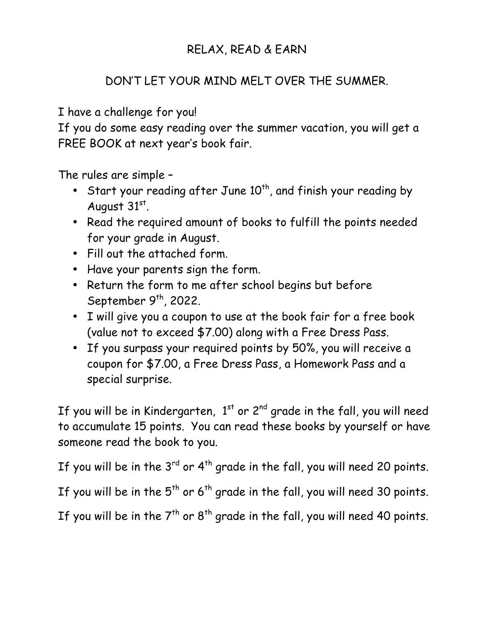## DON'T LET YOUR MIND MELT OVER THE SUMMER.

I have a challenge for you!

If you do some easy reading over the summer vacation, you will get a FREE BOOK at next year's book fair.

The rules are simple –

- Start your reading after June  $10^{\text{th}}$ , and finish your reading by August 31st.
- Read the required amount of books to fulfill the points needed for your grade in August.
- Fill out the attached form.
- Have your parents sign the form.
- Return the form to me after school begins but before September  $9^{th}$ , 2022.
- I will give you a coupon to use at the book fair for a free book (value not to exceed \$7.00) along with a Free Dress Pass.
- If you surpass your required points by 50%, you will receive a coupon for \$7.00, a Free Dress Pass, a Homework Pass and a special surprise.

If you will be in Kindergarten,  $1^{st}$  or  $2^{nd}$  grade in the fall, you will need to accumulate 15 points. You can read these books by yourself or have someone read the book to you.

If you will be in the  $3^{rd}$  or  $4^{th}$  grade in the fall, you will need 20 points.

If you will be in the  $5<sup>th</sup>$  or 6<sup>th</sup> grade in the fall, you will need 30 points.

If you will be in the  $7<sup>th</sup>$  or  $8<sup>th</sup>$  grade in the fall, you will need 40 points.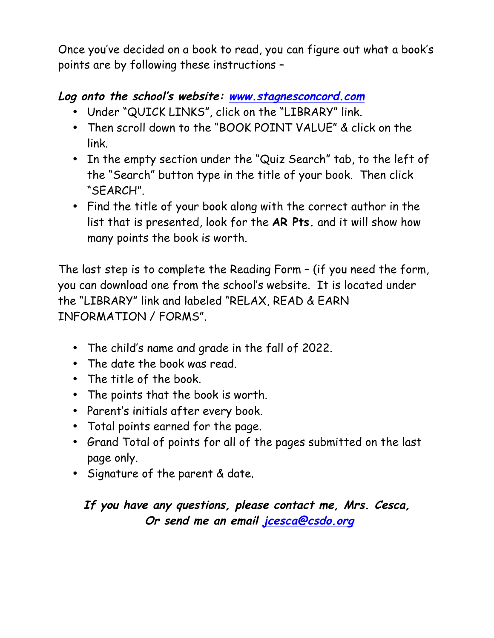Once you've decided on a book to read, you can figure out what a book's points are by following these instructions –

## **Log onto the school's website: www.stagnesconcord.com**

- Under "QUICK LINKS", click on the "LIBRARY" link.
- Then scroll down to the "BOOK POINT VALUE" & click on the link.
- In the empty section under the "Quiz Search" tab, to the left of the "Search" button type in the title of your book. Then click "SEARCH".
- Find the title of your book along with the correct author in the list that is presented, look for the **AR Pts.** and it will show how many points the book is worth.

The last step is to complete the Reading Form – (if you need the form, you can download one from the school's website. It is located under the "LIBRARY" link and labeled "RELAX, READ & EARN INFORMATION / FORMS".

- The child's name and grade in the fall of 2022.
- The date the book was read.
- The title of the book.
- The points that the book is worth.
- Parent's initials after every book.
- Total points earned for the page.
- Grand Total of points for all of the pages submitted on the last page only.
- Signature of the parent & date.

## **If you have any questions, please contact me, Mrs. Cesca, Or send me an email jcesca@csdo.org**